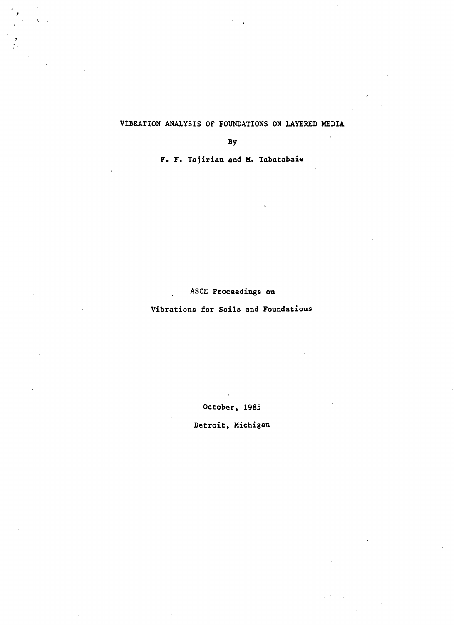# VIBRATION ANALYSIS OF FOUNDATIONS ON LAYERED MEDIA·

By

 $\ddot{\phantom{a}}$ 

F. F. Tajirian and M. Tabatabaie

# ASCE Proceedings on

# Vibrations for Soils and Foundations

October, 1985

Detroit, Michigan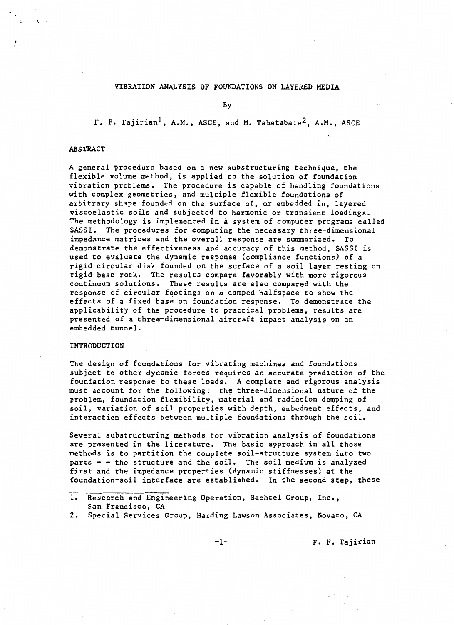#### VIBRATION ANALYSIS OF FOUNDATIONS ON LAYERED MEDIA

By

F. F. Tajirian<sup>1</sup>, A.M., ASCE, and M. Tabatabaie<sup>2</sup>, A.M., ASCE

#### ABSTRACT

 $\cdot$  ;

A general procedure based on a new substructuring technique, the flexible volume method, is applied to the solution of foundation vibration problems. The procedure is capable of handling foundations with complex geometries, and multiple flexible foundations of arbitrary shape founded on the surface of, or embedded in, layered viscoelastic soils and subjected to harmonic or transient loadings. The methodology is implemented in a system of computer programs called SASSI. The procedures for computing the necessary three-dimensional impedance matrices and the overall response are summarized. To demonstrate the effectiveness and accuracy of this method, SASSI is used to evaluate the dynamic response (compliance functions) of a rigid circular disk founded on the surface of a soil layer resting on rigid base rock. The results compare favorably with more rigorous continuum solutions. These results are also compared with the response of circular footings on a damped halfspace to show the effects of a fixed base on foundation response. To demonstrate the applicability of the procedure to practical problems, results are presented of a three-dimensional aircraft impact analysis on an embedded tunnel.

#### INTRODUCTION

The design of foundations for vibrating machines and foundations subject to other dynamic forces requires an accurate prediction of the foundation response to these loads. A complete and rigorous analysis must account for the following: the three-dimensional nature of the problem, foundation flexibility, material and radiation damping of soil, variation of soil properties with depth, embedment effects, and interaction effects between multiple foundations through the soil.

Several substructuring methods for vibration analysis of foundations are presented in the literature. The basic approach in all these methods is to partition the complete soil-structure system into two parts  $-$  - the structure and the soil. The soil medium is analyzed first and the impedance properties (dynamic stiffnesses) at the foundation-soil interface are established. In the second step, these

-1- F. F. Tajirian

<sup>1.</sup> Research and Engineering Operation, Bechtel Group, Inc., San Francisco, CA

<sup>2.</sup> Special Services Group, Harding Lawson Associates, Novato, CA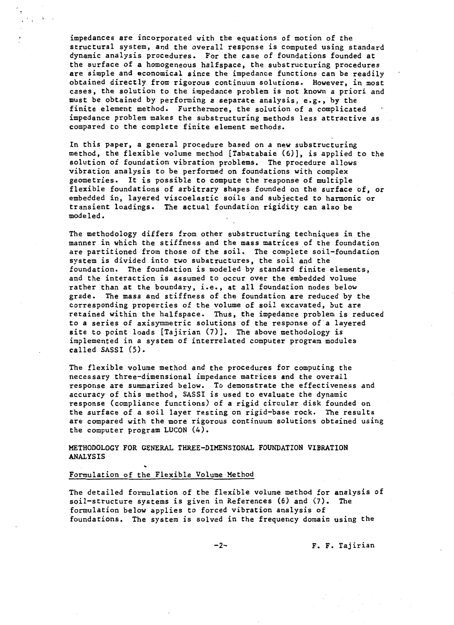impedances are incorporated with the equations of motion of the structural system, and the overall response is computed using standard dynamic analysis procedures. For the case of foundations founded at the surface of a homogeneous halfspace, the substructuring procedures are simple and economical since the impedance functions can be readily obtained directly from rigorous continuum solutions. However, in most cases, the solution to the impedance problem is not known a priori and must be obtained by performing a separate analysis, e.g., by the finite element method. Furthermore, the solution of a complicated impedance problem makes the substructuring methods less attractive as compared to the complete finite element methods.

In this paper, a general procedure based on a new substructuring method, the flexible volume method [Tabatabaie (6)], is applied to the solution of foundation vibration problems. The procedure allows vibration analysis to be performed on foundations with complex geometries. It is possible to compute the response of multiple flexible foundations of arbitrary shapes founded on the surface of, or embedded in, layered viscoelastic soils and subjected to harmonic or transient loadings. The actual foundation rigidity can also be modeled.

The methodology differs from other substructuring techniques in the manner in which the stiffness and the mass matrices of the foundation are partitioned from those of the soil. The complete soil-foundation system is divided into two substructures, the soil and the foundation. The foundation is modeled by standard finite elements, and the interaction is assumed to occur over the embedded volume rather than at the boundary, i.e., at all foundation nodes below grade. The mass and stiffness of the foundation are reduced by the corresponding properties of the volume of soil excavated, but are retained within the halfspace. Thus, the impedance problem is reduced to a series of axisymmetric solutions of the response of a layered site to point loads [Tajirian (7)]. The above methodology is implemented in a system of interrelated computer program modules called SASSI (5).

The flexible volume method and the procedures for computing the necessary three-dimensional impedance matrices and the overall response are summarized below. To demonstrate the effectiveness and accuracy of this method, SASSI is used to evaluate the dynamic response (compliance functions) of a rigid circular disk founded on the surface of a soil layer resting on rigid-base rock. The results are compared with the more rigorous continuum solutions obtained using the computer program LUCON {4).

METHODOLOGY FOR GENERAL THREE-DIMENSIONAL FOUNDATION VIBRATION ANALYSIS<br>Formulation of the Flexible Volume Method

The detailed formulation of the flexible volume method for analysis of soil-structure systems is given in References (6) and (7). The formulation below applies to forced vibration analysis of foundations. The system is solved in the frequency domain using the

-2- F. F. Tajirian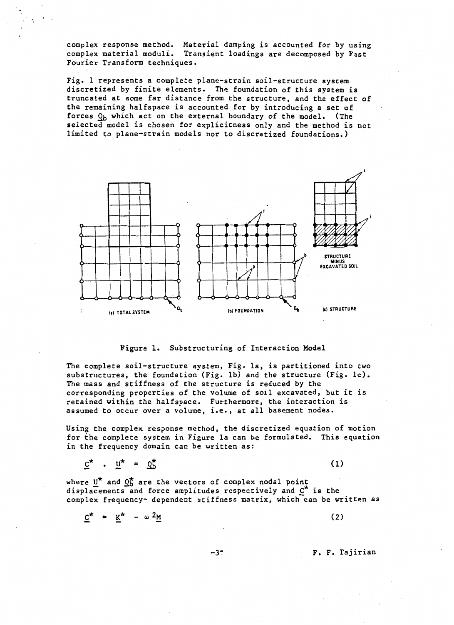complex response method. Material damping is accounted for by using complex material moduli. Transient loadings are decomposed by Fast Fourier Transform techniques.

Fig. 1 represents a complete plane-strain soil-structure system discretized by finite elements. The foundation of this system is truncated at some far distance from the structure, and the effect of the remaining halfspace is accounted for by introducing a set of forces  $Q_b$  which act on the external boundary of the model. (The selected model is chosen for explicitness only and the method is not limited to plane-strain models nor to discretized foundatiops.)



#### Figure 1. Substructuring of Interaction Model

The complete soil-structure system, Fig. la, is partitioned into two substructures, the foundation (Fig. lb) and the structure (Fig. lc). The mass and stiffness of the structure is reduced by the corresponding properties of the volume of soil excavated, but it is retained within the halfspace. Furthermore, the interaction is assumed to occur over a volume, i.e., at all basement nodes.

Using the complex response method, the discretized equation of motion for the complete system in Figure la can be formulated. This equation in the frequency domain can be written as:

$$
\underline{c}^* \cdot \underline{u}^* = \underline{c}_b^* \tag{1}
$$

where  $U^*$  and  $Q_b^*$  are the vectors of complex nodal point displacements and force amplitudes respectively and  $C^*$  is the complex frequency- dependent stiffness matrix, which can be written as

$$
\underline{C}^{\star} = \underline{K}^{\star} - \omega^2 \underline{M}
$$
 (2)

-3~ F. F. Tajirian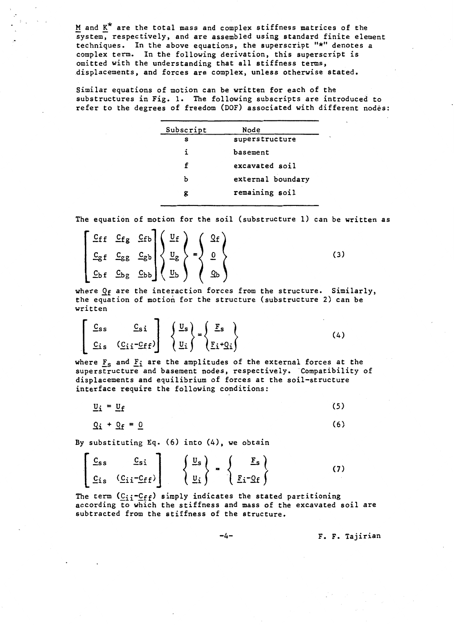M and  $K^*$  are the total mass and complex stiffness matrices of the system, respectively, and are assembled using standard finite element techniques. In the above equations, the superscript "\*" denotes a complex term. In the following derivation, this superscript is omitted with the understanding that all stiffness terms, displacements, and forces are complex, unless otherwise stated.

.·

Similar equations of motion can be written for each of the substructures in Fig. 1. The following subscripts are introduced to refer to the degrees of freedom (DOF) associated with different nodes:

| Subscript | Node              |
|-----------|-------------------|
| S         | superstructure    |
| ĩ.        | basement          |
| f         | excavated soil    |
| ь         | external boundary |
| g         | remaining soil    |

The equation of motion for the soil (substructure 1) can be written as

$$
\begin{bmatrix}\n\mathbf{C}_{\mathbf{f}}\mathbf{f} & \mathbf{C}_{\mathbf{f}}\mathbf{g} & \mathbf{C}_{\mathbf{f}}\mathbf{b} \\
\mathbf{C}_{\mathbf{g}}\mathbf{f} & \mathbf{C}_{\mathbf{g}}\mathbf{g} & \mathbf{C}_{\mathbf{g}}\mathbf{b} \\
\mathbf{C}_{\mathbf{b}}\mathbf{f} & \mathbf{C}_{\mathbf{b}}\mathbf{g} & \mathbf{C}_{\mathbf{b}}\mathbf{b}\n\end{bmatrix}\n\begin{Bmatrix}\n\mathbf{U}_{\mathbf{f}} \\
\mathbf{U}_{\mathbf{g}} \\
\mathbf{U}_{\mathbf{g}}\n\end{Bmatrix} = \n\begin{Bmatrix}\n\mathbf{Q}_{\mathbf{f}} \\
\mathbf{0} \\
\mathbf{Q}_{\mathbf{b}}\n\end{Bmatrix}
$$
\n(3)

where  $Q_f$  are the interaction forces from the structure. Similarly, the equation of motion for the structure (substructure 2) can be written

$$
\left[\begin{array}{cc} \underline{C}_{SS} & \underline{C}_{SI} \\ \underline{C}_{IS} & (\underline{C}_{II} - \underline{C}_{ff}) \end{array}\right] \left\{\begin{array}{c} \underline{U}_{S} \\ \underline{U}_{I} \end{array}\right\} = \left\{\begin{array}{c} \underline{F}_{S} \\ \underline{F}_{I} + \underline{Q}_{I} \end{array}\right\}
$$
(4)

where  $F_s$  and  $F_i$  are the amplitudes of the external forces at the superstructure and basement nodes, respectively. Compatibility of displacements and equilibrium of forces at the soil-structure interface require the following conditions:

 $\underline{v}_i = \underline{v}_f$  (5)

$$
Q_{\mathbf{i}} + Q_{\mathbf{f}} = 0 \tag{6}
$$

By substituting Eq. (6) into (4), we obtain

 $\blacksquare$ 

$$
\begin{bmatrix}\nC_{ss} & C_{si} \\
C_{is} & (C_{ii}-C_{ff})\n\end{bmatrix}\n\begin{Bmatrix}\nU_s \\
U_i\n\end{Bmatrix} = \n\begin{Bmatrix}\nE_s \\
E_i - Q_f\n\end{Bmatrix}
$$
\n(7)

The term  $(C_{ij}-C_{ff})$  simply indicates the stated partitioning according to which the stiffness and mass of the excavated soil are subtracted from the stiffness of the structure.

-4- F. F. Tajirian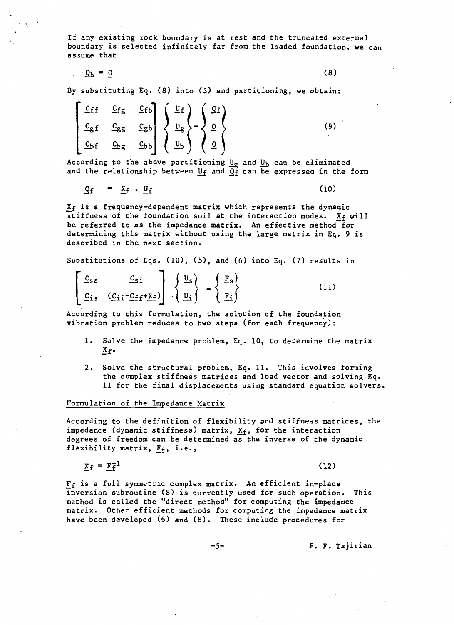If any existing rock boundary is at rest and the truncated external boundary is selected infinitely far from the loaded foundation, we can assume that

 $\mathcal{Q}_b = 0$  (8)

By substituting Eq. (8) into (3) and partitioning, we obtain:

$$
\begin{bmatrix}\n\underline{C}_{\mathbf{f}} & \underline{C}_{\mathbf{f}} & \underline{C}_{\mathbf{f}} \\
\underline{C}_{\mathbf{g}} & \underline{C}_{\mathbf{g}} & \underline{C}_{\mathbf{g}}\n\end{bmatrix}\n\begin{Bmatrix}\n\underline{U}_{\mathbf{f}} \\
\underline{U}_{\mathbf{g}} \\
\underline{U}_{\mathbf{g}}\n\end{Bmatrix} = \n\begin{Bmatrix}\n\Omega_{\mathbf{f}} \\
\underline{0} \\
\underline{0}\n\end{Bmatrix}
$$
\n(9)

According to the above partitioning  $u<sub>g</sub>$  and  $u<sub>b</sub>$  can be eliminated</u></u> and the relationship between  $U<sub>f</sub>$  and  $\overline{Q_f}$  can be expressed in the form</u>

$$
Q_f = \underline{X}_f \cdot \underline{U}_f \tag{10}
$$

 $X_f$  is a frequency-dependent matrix which represents the dynamic stiffness of the foundation soil at the interaction nodes.  $X_f$  will be referred to as the impedance matrix. An effective method for determining this matrix without using the large matrix in Eq. 9 is described in the next section.

Substitutions of Eqs. (10), (5), and (6) into Eq. (7) results in

$$
\begin{bmatrix} \underline{C}_{ss} & \underline{C}_{si} \\ \underline{C}_{is} & (\underline{C}_{ii} - \underline{C}_{ff} + \underline{X}_{f}) \end{bmatrix} \begin{bmatrix} \underline{u}_{s} \\ \underline{u}_{i} \end{bmatrix} = \begin{Bmatrix} \underline{F}_{s} \\ \underline{F}_{i} \end{Bmatrix}
$$
(11)

According to this formulation, the solution of the foundation vibration problem reduces *to* two steps (for each frequency):

- 1. Solve the impedance problem, Eq. 10, to determine the matrix  $X_f$ .
- 2. Solve the structural problem, Eq. 11. This involves forming the complex stiffness matrices and load vector and solving Eq. 11 for the final displacements using standard equation solvers.

#### Formulation of the Impedance Matrix

According to the definition of flexibility and stiffness matrices, the impedance (dynamic stiffness) matrix,  $X_f$ , for the interaction degrees of freedom can be determined as the inverse of the dynamic flexibility matrix,  $F_f$ , i.e.,

 $X_f = F_f^{-1}$ 

.  $\cdot$   $\cdot$ 

(12)

 $F_f$  is a full symmetric complex matrix. An efficient in-place inversion subroutine (8) is currently used for such operation. This method is called the "direct method" for computing the impedance matrix. Other efficient methods for computing the impedance matrix have been developed (6) and (8). These include procedures for

-5- F. F. Tajirian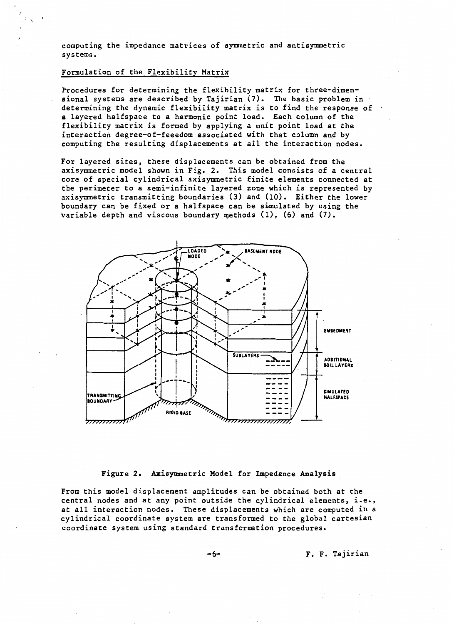computing the impedance matrices of symmetric and antisymmetric systems.

# Formulation of the Flexibility Matrix

.  $\cdot$   $\cdot$ 

Procedures for determining the flexibility matrix for three-dimensional systems are described by Tajirian (7). The basic problem in determining the dynamic flexibility matrix is to find the response of a layered halfspace to a harmonic point load. Each column of the flexibility matrix is formed by applying a unit point load at the interaction degree-of-feeedom associated with that column and by computing the resulting displacements at all the interaction nodes.

For layered sites, these displacements can be obtained from the axisymmetric model shown in Fig. 2. This model consists of a central core of special cylindrical axisymmetric finite elements connected at the perimeter to a semi-infinite layered zone which is represented by axisymmetric transmitting boundaries (3) and (10). Either the lower boundary can be fixed or a halfspace can be simulated by using the variable depth and viscous boundary methods  $(1)$ ,  $(6)$  and  $(7)$ .



Figure 2. Axisymmetric Model for Impedance Analysis

From this model displacement amplitudes can be obtained both at the central nodes and at any point outside the cylindrical elements, i.e., at all interaction nodes. These displacements which are computed in a cylindrical coordinate system are transformed to the global cartesian coordinate system using standard transformation procedures.

-6- F. F. Tajirian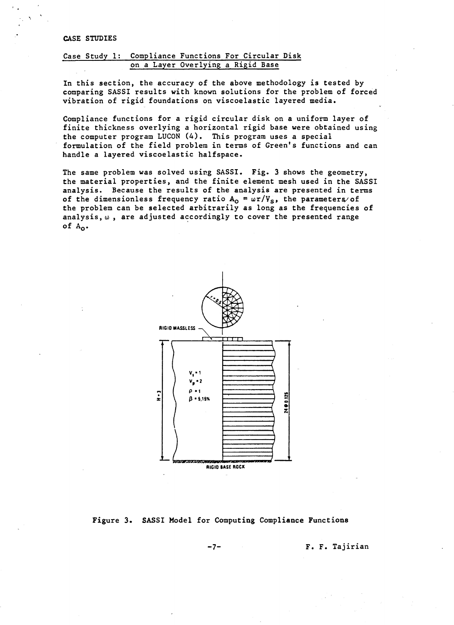# CASE STUDIES

# Case Study 1: Compliance Functions For Circular Disk on a Layer Overlying a Rigid Base

In this section, the accuracy of the above methodology is tested by comparing SASSI results with known solutions for the problem of forced vibration of rigid foundations on viscoelastic layered media.

Compliance functions for a rigid circular disk on a uniform layer of finite thickness overlying a horizontal rigid base were obtained using the computer program LUCON (4). This program uses a special formulation of the field problem in terms of Green's functions and can handle a layered viscoelastic halfspace.

The same problem was solved using SASSI. Fig. 3 shows the geometry, the material properties, and the finite element mesh used in the SASSI analysis. Because the results of the analysis are presented in terms of the dimensionless frequency ratio  $A_0 = \omega r/V_s$ , the parameters/of the problem can be selected arbitrarily as long as the frequencies of analysis, *w* , are adjusted accordingly to cover the presented range of  $A_0$ .



Figure 3. SASSI Model for Computing Compliance Functions

-7- F. F. Tajirian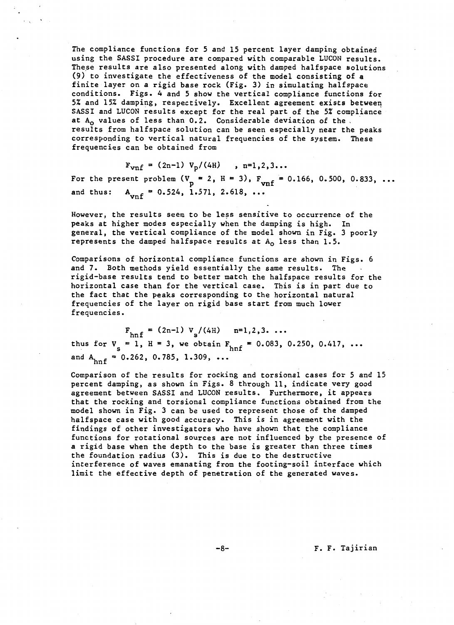The compliance functions for 5 and 15 percent layer damping obtained using the SASSI procedure are compared with comparable LUCON results. These results are also presented along with damped halfspace solutions (9) to investigate the effectiveness of the model consisting of a finite layer on a rigid base rock (Fig. 3) in simulating halfspace conditions. Figs. 4 and 5 show the vertical compliance functions for 5% and 15% damping, respectively. Excellent agreement exists between SASSI and LUCON results except for the real part of the 5% compliance at  $A_0$  values of less than 0.2. Considerable deviation of the results from halfspace solution can be seen especially near the peaks corresponding to vertical natural frequencies of the system. These frequencies can be obtained from

 $F_{vnf} = (2n-1) V_p/(4H)$ ,  $n=1,2,3...$ For the present problem  $(V_p = 2, H = 3)$ ,  $F_{vnf} = 0.166, 0.500, 0.833, ...$ 

and thus:  $A_{vnf} = 0.524, 1.571, 2.618, ...$ 

However, the results seem to be less sensitive to occurrence of the peaks at higher modes especially when the damping is high. In general, the vertical compliance of the model shown in Fig. 3 poorly represents the damped halfspace results at  $A_0$  less than 1.5.

Comparisons of horizontal compliance functions are shown in Figs. 6 and 7. Both methods yield essentially the same results. The rigid-base results tend to better match the halfspace results for the horizontal case than for the vertical case. This is in part due to the fact that the peaks corresponding to the horizontal natural frequencies of the layer on rigid base start from much lower frequencies.

 $F_{\text{hnf}} = (2n-1) V_s/(4H)$   $n=1,2,3$ ... thus for  $V_s = 1$ ,  $H = 3$ , we obtain  $F_{hnf} = 0.083$ , 0.250, 0.417, ... and  $A_{hnf} = 0.262, 0.785, 1.309, ...$ 

Comparison of the results for rocking and torsional cases for 5 and 15 percent damping, as shown in Figs. 8 through 11, indicate very good agreement between SASSI and LUCON results. Furthermore, it appears that the rocking and torsional compliance functions obtained from the model shown in Fig. 3 can be used to represent those of the damped halfspace case with good accuracy. This is in agreement with the findings of other investigators who have shown that the compliance functions for rotational sources are not influenced by the presence of a rigid base when the depth to the base is greater than three times the foundation radius (3). This is due to the destructive interference of waves emanating from the footing-soil interface which limit the effective depth of penetration of the generated waves.

-8- F. F. Tajirian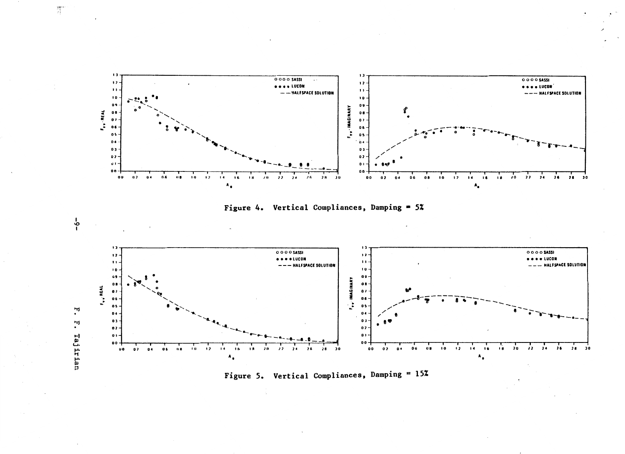







 $-6-$ 

 $\frac{2\overline{m}^{2}}{2\overline{1}}$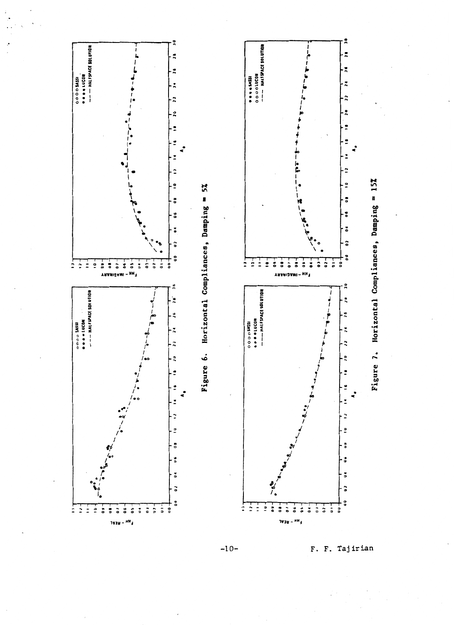



 $-10-$ 

F. F. Tajirian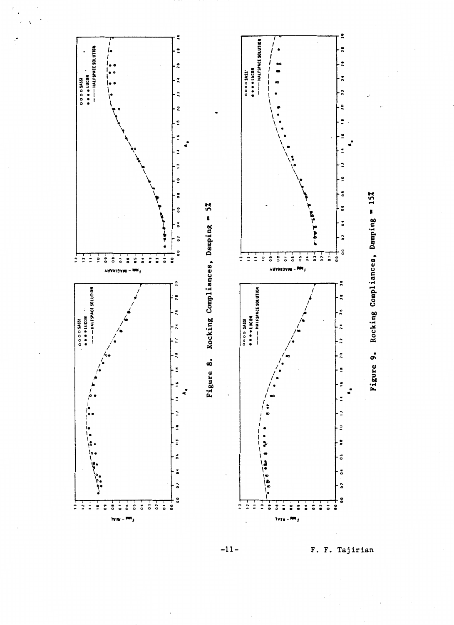



 $-11-$ 

F. F. Tajirian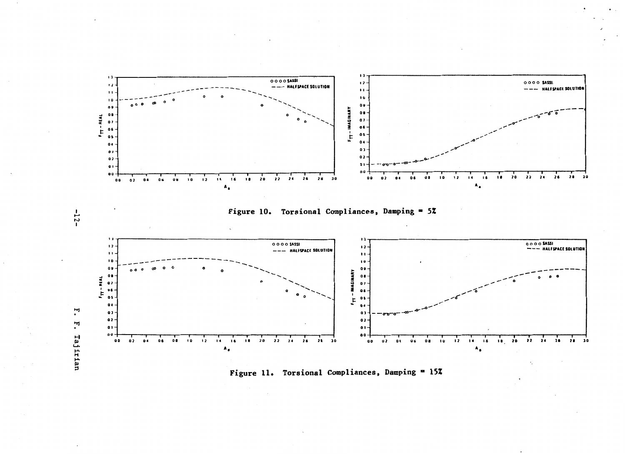

Figure 11. Torsional Compliances, Damping = 15%

Tajirian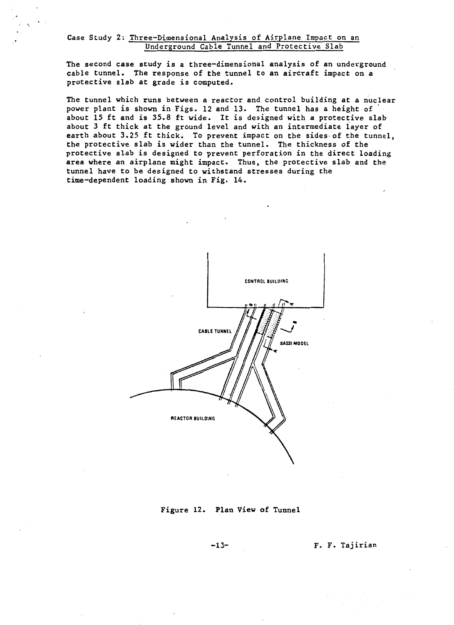# Case Study 2: Three-Dimensional Analysis of Airplane Impact on an Underground Cable Tunnel and Protective Slab

 $\ddot{\phantom{0}}$ 

The second case study is a three-dimensional analysis of an underground cable tunnel. The response of the tunnel to an aircraft impact on a protective slab at grade is computed.

The tunnel which runs between a reactor and control building at a nuclear power plant is shown in Figs. 12 and 13. The tunnel has a height of about 15 ft and is *35.8* ft wide. It is designed with a protective slab about *3* ft thick at the ground level and with an intermediate layer of earth about 3.25 ft thick. To prevent impact on the sides of the tunnel, the protective slab is wider than the tunnel. The thickness of the protective slab is designed to prevent perforation in the direct loading area where an airplane might impact. Thus, the protective slab and the tunnel have to be designed to withstand stresses during the time-dependent loading shown in Fig. 14.



# Figure 12. Plan View of Tunnel

-13- F. F. Tajirian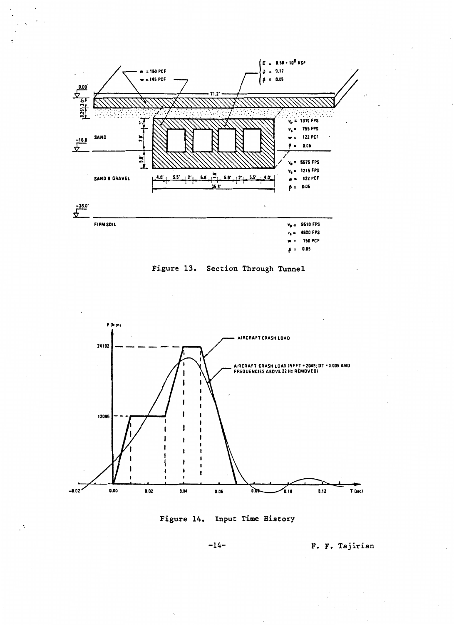

Figure 13. Section Through Tunnel





-14- F. F. Tajirian

 $\ddot{\phantom{0}}$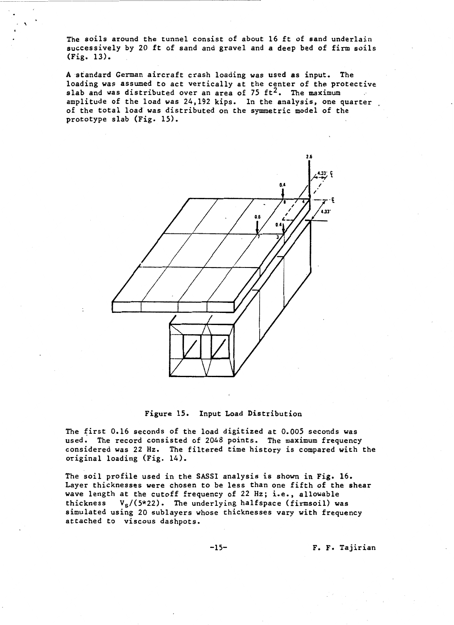The soils around the tunnel consist of about 16 ft of sand underlain successively by 20 ft of sand and gravel and a deep bed of firm soils (Fig. 13).

 $\cdot$   $\lambda$ 

A standard German aircraft crash loading was used as input. The loading was assumed to act vertically at the center of the protective slab and was distributed over an area of 75  $ft^2$ . The maximum amplitude of the load was 24,192 kips. In the analysis, one quarter of the total load was distributed on the symmetric model of the prototype slab (Fig. 15).



# Figure 15. Input Load Distribution

The first 0.16 seconds of the load digitized at 0.005 seconds was used. The record consisted of 2048 points. The maximum frequency considered was 22 Hz. The filtered time history is compared with the original loading (Fig. 14).

The soil profile used in the SASSI analysis is shown in Fig. 16. Layer thicknesses were chosen to be less than one fifth of the shear wave length at the cutoff frequency of 22 Hz; i.e., allowable<br>thickness  $V_c/(5*22)$ . The underlying halfspace (firmsoil) was  $V_s/(5*22)$ . The underlying halfspace (firmsoil) was simulated using 20 sublayers whose thicknesses vary with frequency attached to viscous dashpots.

-15- F. F. Tajirian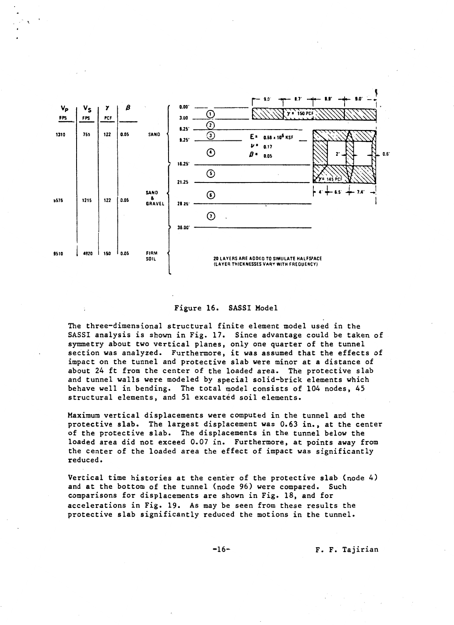

#### Figure 16. SASSI Model

The three-dimensional structural finite element model used in the SASSI analysis is shown in Fig. 17. Since advantage could be taken of symmetry about two vertical planes, only one quarter of the tunnel section was analyzed. Furthermore, it was assumed that the effects of impact on the tunnel and protective slab were minor at a distance of about 24 ft from the center of the loaded area. The protective slab and tunnel walls were modeled by special solid-brick elements which behave well in bending. The total model consists of 104 nodes, 45 structural elements, and 51 excavated soil elements.

Maximum vertical displacements were computed in the tunnel and the protective slab. The largest displacement was 0.63 in., at the center of the protective slab. The displacements in the tunnel below the loaded area did not exceed 0.07 in. Furthermore, at points away from the center of the loaded area the effect of impact was significantly reduced.

Vertical time histories at the center of the protective slab (node 4) and at the bottom of the tunnel (node 96) were compared. Such comparisons for displacements are shown in Fig. 18, and for accelerations in Fig. 19. As may be seen from these results the protective slab significantly reduced the motions in the tunnel.

-16- F. F. Tajirian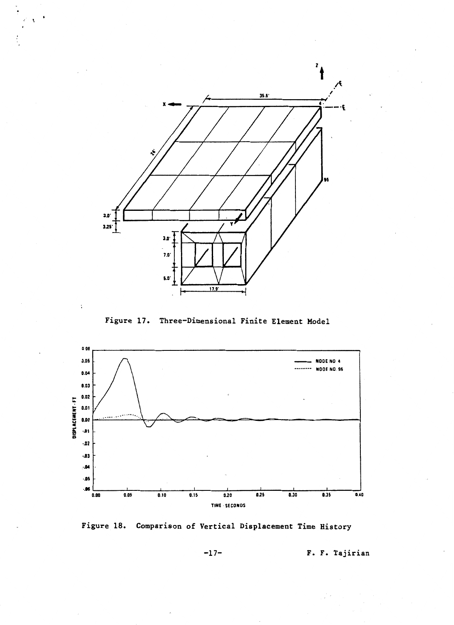

 $\ddot{\phantom{a}}$ 

 $\ddot{\phantom{a}}$ 

Figure 17. Three-Dimensional Finite Element Model



Figure 18. Comparison of Vertical Displacement Time History

 $-17-$ 

F. F. Tajirian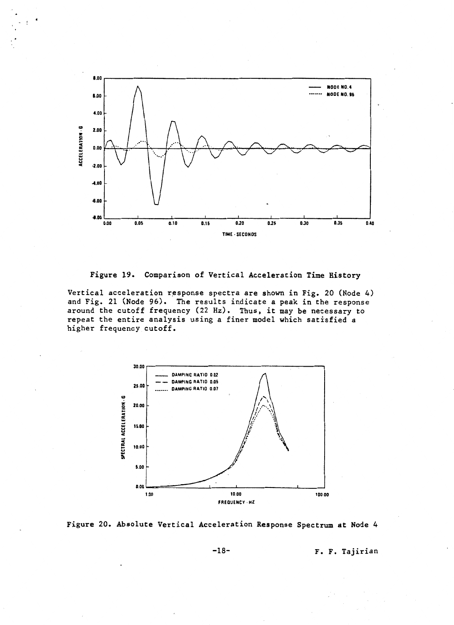

Figure 19. Comparison of Vertical Acceleration Time History

Vertical acceleration response spectra are shown in Fig. 20 (Node 4) and Fig. 21 (Node 96). The results indicate a peak in the response around the cutoff frequency (22Hz). Thus, it may be necessary to repeat the entire analysis using a finer model which satisfied a higher frequency cutoff.





-18- F. F. Tajirian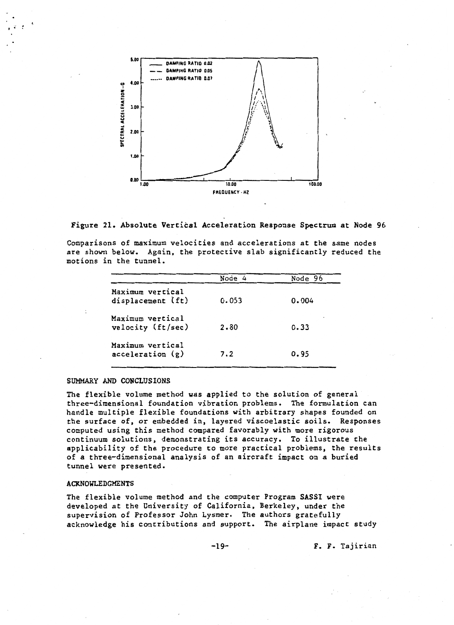

Figure 21. Absolute Vertical Acceleration Response Spectrum at Node 96

Comparisons of maximum velocities and accelerations at the same nodes are shown below. Again, the protective slab significantly reduced the motions in the tunnel.

|                                       | Node 4 | Node 96 |
|---------------------------------------|--------|---------|
| Maximum vertical<br>displacement (ft) | 0.053  | 0.004   |
| Maximum vertical<br>velocity (ft/sec) | 2.80   | 0.33    |
| Maximum vertical<br>acceleration(g)   | 7.2    | 0.95    |

#### SUMMARY AND CONCLUSIONS

' .

The flexible volume method was applied to the solution of general three-dimensional foundation vibration problems. The formulation can handle multiple flexible foundations with arbitrary shapes founded on the surface of, or embedded in, layered viscoelastic soils. Responses computed using this method compared favorably with more rigorous continuum solutions, demonstrating its accuracy. To illustrate the applicability of the procedure to more practical problems, the results of a three-dimensional analysis of an aircraft impact on a buried tunnel were presented.

#### ACKNOWLEDGMENTS

The flexible volume method and the computer Program SASSI were developed at the University of California, Berkeley, under the supervision of Professor John Lysmer. The authors gratefully acknowledge his contributions and support. The airplane impact study

-19- F. F. Tajirian